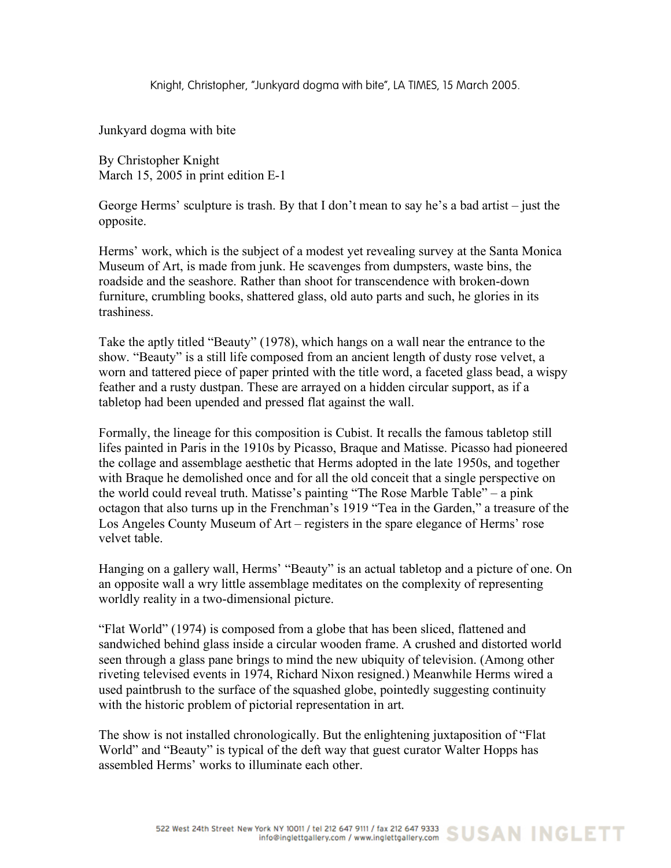Knight, Christopher, "Junkyard dogma with bite", LA TIMES, 15 March 2005.

Junkyard dogma with bite

By Christopher Knight March 15, 2005 in print edition E-1

George Herms' sculpture is trash. By that I don't mean to say he's a bad artist – just the opposite.

Herms' work, which is the subject of a modest yet revealing survey at the Santa Monica Museum of Art, is made from junk. He scavenges from dumpsters, waste bins, the roadside and the seashore. Rather than shoot for transcendence with broken-down furniture, crumbling books, shattered glass, old auto parts and such, he glories in its trashiness.

Take the aptly titled "Beauty" (1978), which hangs on a wall near the entrance to the show. "Beauty" is a still life composed from an ancient length of dusty rose velvet, a worn and tattered piece of paper printed with the title word, a faceted glass bead, a wispy feather and a rusty dustpan. These are arrayed on a hidden circular support, as if a tabletop had been upended and pressed flat against the wall.

Formally, the lineage for this composition is Cubist. It recalls the famous tabletop still lifes painted in Paris in the 1910s by Picasso, Braque and Matisse. Picasso had pioneered the collage and assemblage aesthetic that Herms adopted in the late 1950s, and together with Braque he demolished once and for all the old conceit that a single perspective on the world could reveal truth. Matisse's painting "The Rose Marble Table" – a pink octagon that also turns up in the Frenchman's 1919 "Tea in the Garden," a treasure of the Los Angeles County Museum of Art – registers in the spare elegance of Herms' rose velvet table.

Hanging on a gallery wall, Herms' "Beauty" is an actual tabletop and a picture of one. On an opposite wall a wry little assemblage meditates on the complexity of representing worldly reality in a two-dimensional picture.

"Flat World" (1974) is composed from a globe that has been sliced, flattened and sandwiched behind glass inside a circular wooden frame. A crushed and distorted world seen through a glass pane brings to mind the new ubiquity of television. (Among other riveting televised events in 1974, Richard Nixon resigned.) Meanwhile Herms wired a used paintbrush to the surface of the squashed globe, pointedly suggesting continuity with the historic problem of pictorial representation in art.

The show is not installed chronologically. But the enlightening juxtaposition of "Flat World" and "Beauty" is typical of the deft way that guest curator Walter Hopps has assembled Herms' works to illuminate each other.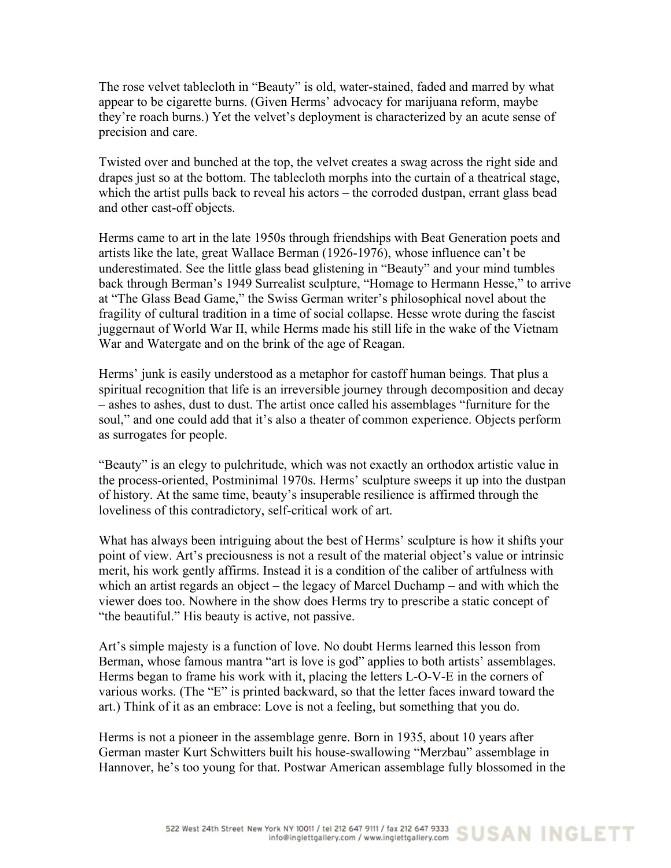The rose velvet tablecloth in "Beauty" is old, water-stained, faded and marred by what appear to be cigarette burns. (Given Herms' advocacy for marijuana reform, maybe they're roach burns.) Yet the velvet's deployment is characterized by an acute sense of precision and care.

Twisted over and bunched at the top, the velvet creates a swag across the right side and drapes just so at the bottom. The tablecloth morphs into the curtain of a theatrical stage, which the artist pulls back to reveal his actors – the corroded dustpan, errant glass bead and other cast-off objects.

Herms came to art in the late 1950s through friendships with Beat Generation poets and artists like the late, great Wallace Berman (1926-1976), whose influence can't be underestimated. See the little glass bead glistening in "Beauty" and your mind tumbles back through Berman's 1949 Surrealist sculpture, "Homage to Hermann Hesse," to arrive at "The Glass Bead Game," the Swiss German writer's philosophical novel about the fragility of cultural tradition in a time of social collapse. Hesse wrote during the fascist juggernaut of World War II, while Herms made his still life in the wake of the Vietnam War and Watergate and on the brink of the age of Reagan.

Herms' junk is easily understood as a metaphor for castoff human beings. That plus a spiritual recognition that life is an irreversible journey through decomposition and decay – ashes to ashes, dust to dust. The artist once called his assemblages "furniture for the soul," and one could add that it's also a theater of common experience. Objects perform as surrogates for people.

"Beauty" is an elegy to pulchritude, which was not exactly an orthodox artistic value in the process-oriented, Postminimal 1970s. Herms' sculpture sweeps it up into the dustpan of history. At the same time, beauty's insuperable resilience is affirmed through the loveliness of this contradictory, self-critical work of art.

What has always been intriguing about the best of Herms' sculpture is how it shifts your point of view. Art's preciousness is not a result of the material object's value or intrinsic merit, his work gently affirms. Instead it is a condition of the caliber of artfulness with which an artist regards an object – the legacy of Marcel Duchamp – and with which the viewer does too. Nowhere in the show does Herms try to prescribe a static concept of "the beautiful." His beauty is active, not passive.

Art's simple majesty is a function of love. No doubt Herms learned this lesson from Berman, whose famous mantra "art is love is god" applies to both artists' assemblages. Herms began to frame his work with it, placing the letters L-O-V-E in the corners of various works. (The "E" is printed backward, so that the letter faces inward toward the art.) Think of it as an embrace: Love is not a feeling, but something that you do.

Herms is not a pioneer in the assemblage genre. Born in 1935, about 10 years after German master Kurt Schwitters built his house-swallowing "Merzbau" assemblage in Hannover, he's too young for that. Postwar American assemblage fully blossomed in the